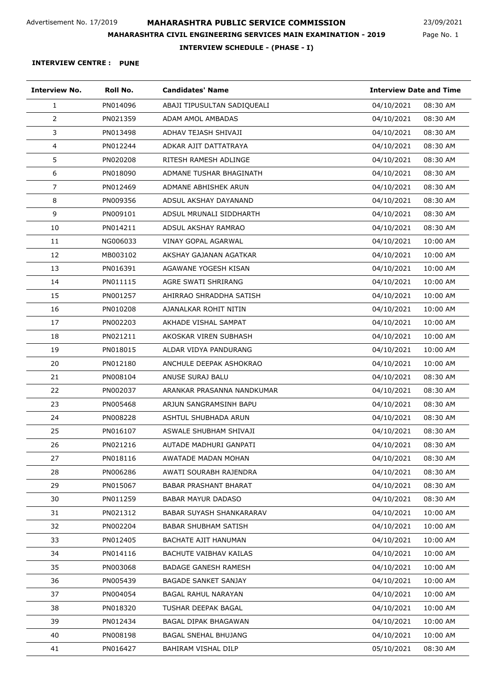Page No. 1 23/09/2021

**INTERVIEW SCHEDULE - (PHASE - I)**

| <b>Interview No.</b> | Roll No. | <b>Candidates' Name</b>         | <b>Interview Date and Time</b> |
|----------------------|----------|---------------------------------|--------------------------------|
| 1                    | PN014096 | ABAJI TIPUSULTAN SADIQUEALI     | 08:30 AM<br>04/10/2021         |
| $\overline{2}$       | PN021359 | <b>ADAM AMOL AMBADAS</b>        | 08:30 AM<br>04/10/2021         |
| 3                    | PN013498 | ADHAV TEJASH SHIVAJI            | 08:30 AM<br>04/10/2021         |
| $\overline{4}$       | PN012244 | ADKAR AJIT DATTATRAYA           | 04/10/2021<br>08:30 AM         |
| 5                    | PN020208 | RITESH RAMESH ADLINGE           | 08:30 AM<br>04/10/2021         |
| 6                    | PN018090 | ADMANE TUSHAR BHAGINATH         | 08:30 AM<br>04/10/2021         |
| $\overline{7}$       | PN012469 | ADMANE ABHISHEK ARUN            | 04/10/2021<br>08:30 AM         |
| 8                    | PN009356 | ADSUL AKSHAY DAYANAND           | 04/10/2021<br>08:30 AM         |
| 9                    | PN009101 | ADSUL MRUNALI SIDDHARTH         | 08:30 AM<br>04/10/2021         |
| 10                   | PN014211 | ADSUL AKSHAY RAMRAO             | 08:30 AM<br>04/10/2021         |
| 11                   | NG006033 | VINAY GOPAL AGARWAL             | 04/10/2021<br>10:00 AM         |
| 12                   | MB003102 | AKSHAY GAJANAN AGATKAR          | 04/10/2021<br>10:00 AM         |
| 13                   | PN016391 | AGAWANE YOGESH KISAN            | 10:00 AM<br>04/10/2021         |
| 14                   | PN011115 | AGRE SWATI SHRIRANG             | 04/10/2021<br>10:00 AM         |
| 15                   | PN001257 | AHIRRAO SHRADDHA SATISH         | 04/10/2021<br>10:00 AM         |
| 16                   | PN010208 | AJANALKAR ROHIT NITIN           | 04/10/2021<br>10:00 AM         |
| 17                   | PN002203 | AKHADE VISHAL SAMPAT            | 10:00 AM<br>04/10/2021         |
| 18                   | PN021211 | AKOSKAR VIREN SUBHASH           | 10:00 AM<br>04/10/2021         |
| 19                   | PN018015 | ALDAR VIDYA PANDURANG           | 04/10/2021<br>10:00 AM         |
| 20                   | PN012180 | ANCHULE DEEPAK ASHOKRAO         | 04/10/2021<br>10:00 AM         |
| 21                   | PN008104 | ANUSE SURAJ BALU                | 08:30 AM<br>04/10/2021         |
| 22                   | PN002037 | ARANKAR PRASANNA NANDKUMAR      | 04/10/2021<br>08:30 AM         |
| 23                   | PN005468 | ARJUN SANGRAMSINH BAPU          | 04/10/2021<br>08:30 AM         |
| 24                   | PN008228 | ASHTUL SHUBHADA ARUN            | 04/10/2021<br>08:30 AM         |
| 25                   | PN016107 | ASWALE SHUBHAM SHIVAJI          | 04/10/2021<br>08:30 AM         |
| 26                   | PN021216 | AUTADE MADHURI GANPATI          | 04/10/2021<br>08:30 AM         |
| 27                   | PN018116 | AWATADE MADAN MOHAN             | 04/10/2021<br>08:30 AM         |
| 28                   | PN006286 | AWATI SOURABH RAJENDRA          | 04/10/2021<br>08:30 AM         |
| 29                   | PN015067 | <b>BABAR PRASHANT BHARAT</b>    | 08:30 AM<br>04/10/2021         |
| 30                   | PN011259 | <b>BABAR MAYUR DADASO</b>       | 04/10/2021<br>08:30 AM         |
| 31                   | PN021312 | <b>BABAR SUYASH SHANKARARAV</b> | 04/10/2021<br>10:00 AM         |
| 32                   | PN002204 | <b>BABAR SHUBHAM SATISH</b>     | 04/10/2021<br>10:00 AM         |
| 33                   | PN012405 | BACHATE AJIT HANUMAN            | 04/10/2021<br>10:00 AM         |
| 34                   | PN014116 | <b>BACHUTE VAIBHAV KAILAS</b>   | 04/10/2021<br>10:00 AM         |
| 35                   | PN003068 | <b>BADAGE GANESH RAMESH</b>     | 04/10/2021<br>10:00 AM         |
| 36                   | PN005439 | <b>BAGADE SANKET SANJAY</b>     | 04/10/2021<br>10:00 AM         |
| 37                   | PN004054 | <b>BAGAL RAHUL NARAYAN</b>      | 04/10/2021<br>10:00 AM         |
| 38                   | PN018320 | TUSHAR DEEPAK BAGAL             | 04/10/2021<br>10:00 AM         |
| 39                   | PN012434 | BAGAL DIPAK BHAGAWAN            | 04/10/2021<br>10:00 AM         |
| 40                   | PN008198 | <b>BAGAL SNEHAL BHUJANG</b>     | 04/10/2021<br>10:00 AM         |
| 41                   | PN016427 | BAHIRAM VISHAL DILP             | 05/10/2021<br>08:30 AM         |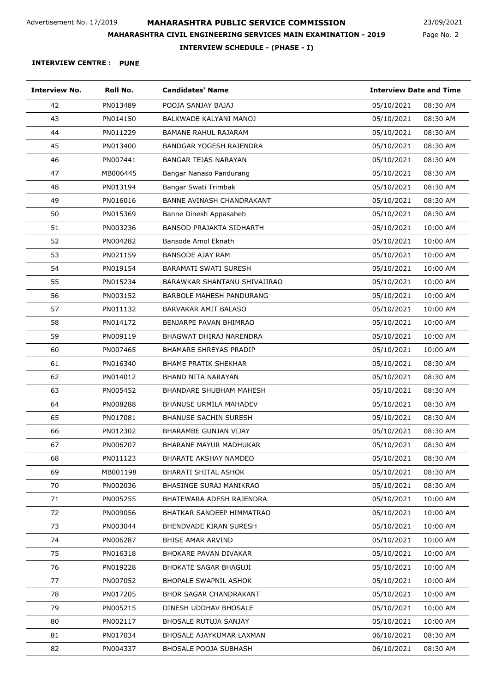Page No. 2 23/09/2021

**INTERVIEW SCHEDULE - (PHASE - I)**

| <b>Interview No.</b> | Roll No. | <b>Candidates' Name</b>          | <b>Interview Date and Time</b> |
|----------------------|----------|----------------------------------|--------------------------------|
| 42                   | PN013489 | POOJA SANJAY BAJAJ               | 05/10/2021<br>08:30 AM         |
| 43                   | PN014150 | BALKWADE KALYANI MANOJ           | 05/10/2021<br>08:30 AM         |
| 44                   | PN011229 | BAMANE RAHUL RAJARAM             | 05/10/2021<br>08:30 AM         |
| 45                   | PN013400 | BANDGAR YOGESH RAJENDRA          | 05/10/2021<br>08:30 AM         |
| 46                   | PN007441 | <b>BANGAR TEJAS NARAYAN</b>      | 05/10/2021<br>08:30 AM         |
| 47                   | MB006445 | Bangar Nanaso Pandurang          | 05/10/2021<br>08:30 AM         |
| 48                   | PN013194 | Bangar Swati Trimbak             | 08:30 AM<br>05/10/2021         |
| 49                   | PN016016 | <b>BANNE AVINASH CHANDRAKANT</b> | 05/10/2021<br>08:30 AM         |
| 50                   | PN015369 | Banne Dinesh Appasaheb           | 05/10/2021<br>08:30 AM         |
| 51                   | PN003236 | <b>BANSOD PRAJAKTA SIDHARTH</b>  | 05/10/2021<br>10:00 AM         |
| 52                   | PN004282 | Bansode Amol Eknath              | 05/10/2021<br>10:00 AM         |
| 53                   | PN021159 | <b>BANSODE AJAY RAM</b>          | 05/10/2021<br>10:00 AM         |
| 54                   | PN019154 | <b>BARAMATI SWATI SURESH</b>     | 05/10/2021<br>10:00 AM         |
| 55                   | PN015234 | BARAWKAR SHANTANU SHIVAJIRAO     | 05/10/2021<br>10:00 AM         |
| 56                   | PN003152 | BARBOLE MAHESH PANDURANG         | 10:00 AM<br>05/10/2021         |
| 57                   | PN011132 | BARVAKAR AMIT BALASO             | 05/10/2021<br>10:00 AM         |
| 58                   | PN014172 | BENJARPE PAVAN BHIMRAO           | 05/10/2021<br>10:00 AM         |
| 59                   | PN009119 | BHAGWAT DHIRAJ NARENDRA          | 05/10/2021<br>10:00 AM         |
| 60                   | PN007465 | BHAMARE SHREYAS PRADIP           | 05/10/2021<br>10:00 AM         |
| 61                   | PN016340 | <b>BHAME PRATIK SHEKHAR</b>      | 05/10/2021<br>08:30 AM         |
| 62                   | PN014012 | BHAND NITA NARAYAN               | 05/10/2021<br>08:30 AM         |
| 63                   | PN005452 | BHANDARE SHUBHAM MAHESH          | 05/10/2021<br>08:30 AM         |
| 64                   | PN008288 | <b>BHANUSE URMILA MAHADEV</b>    | 05/10/2021<br>08:30 AM         |
| 65                   | PN017081 | <b>BHANUSE SACHIN SURESH</b>     | 05/10/2021<br>08:30 AM         |
| 66                   | PN012302 | BHARAMBE GUNJAN VIJAY            | 05/10/2021<br>08:30 AM         |
| 67                   | PN006207 | BHARANE MAYUR MADHUKAR           | 05/10/2021<br>08:30 AM         |
| 68                   | PN011123 | <b>BHARATE AKSHAY NAMDEO</b>     | 05/10/2021<br>08:30 AM         |
| 69                   | MB001198 | <b>BHARATI SHITAL ASHOK</b>      | 05/10/2021<br>08:30 AM         |
| 70                   | PN002036 | BHASINGE SURAJ MANIKRAO          | 05/10/2021<br>08:30 AM         |
| 71                   | PN005255 | BHATEWARA ADESH RAJENDRA         | 05/10/2021<br>10:00 AM         |
| 72                   | PN009056 | BHATKAR SANDEEP HIMMATRAO        | 10:00 AM<br>05/10/2021         |
| 73                   | PN003044 | <b>BHENDVADE KIRAN SURESH</b>    | 05/10/2021<br>10:00 AM         |
| 74                   | PN006287 | BHISE AMAR ARVIND                | 05/10/2021<br>10:00 AM         |
| 75                   | PN016318 | BHOKARE PAVAN DIVAKAR            | 05/10/2021<br>10:00 AM         |
| 76                   | PN019228 | BHOKATE SAGAR BHAGUJI            | 05/10/2021<br>10:00 AM         |
| 77                   | PN007052 | <b>BHOPALE SWAPNIL ASHOK</b>     | 05/10/2021<br>10:00 AM         |
| 78                   | PN017205 | <b>BHOR SAGAR CHANDRAKANT</b>    | 05/10/2021<br>10:00 AM         |
| 79                   | PN005215 | DINESH UDDHAV BHOSALE            | 05/10/2021<br>10:00 AM         |
| 80                   | PN002117 | BHOSALE RUTUJA SANJAY            | 05/10/2021<br>10:00 AM         |
| 81                   | PN017034 | BHOSALE AJAYKUMAR LAXMAN         | 06/10/2021<br>08:30 AM         |
| 82                   | PN004337 | BHOSALE POOJA SUBHASH            | 06/10/2021<br>08:30 AM         |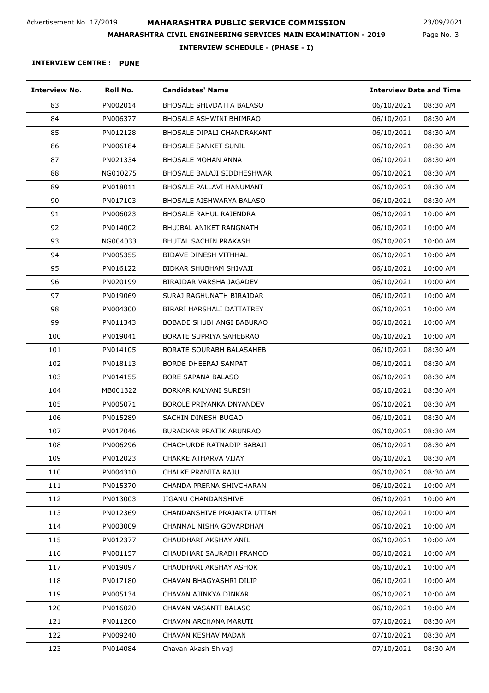Page No. 3 23/09/2021

**INTERVIEW SCHEDULE - (PHASE - I)**

| <b>Interview No.</b> | Roll No. | <b>Candidates' Name</b>           | <b>Interview Date and Time</b> |
|----------------------|----------|-----------------------------------|--------------------------------|
| 83                   | PN002014 | <b>BHOSALE SHIVDATTA BALASO</b>   | 06/10/2021<br>08:30 AM         |
| 84                   | PN006377 | <b>BHOSALE ASHWINI BHIMRAO</b>    | 06/10/2021<br>08:30 AM         |
| 85                   | PN012128 | <b>BHOSALE DIPALI CHANDRAKANT</b> | 06/10/2021<br>08:30 AM         |
| 86                   | PN006184 | <b>BHOSALE SANKET SUNIL</b>       | 06/10/2021<br>08:30 AM         |
| 87                   | PN021334 | <b>BHOSALE MOHAN ANNA</b>         | 06/10/2021<br>08:30 AM         |
| 88                   | NG010275 | BHOSALE BALAJI SIDDHESHWAR        | 06/10/2021<br>08:30 AM         |
| 89                   | PN018011 | BHOSALE PALLAVI HANUMANT          | 06/10/2021<br>08:30 AM         |
| 90                   | PN017103 | <b>BHOSALE AISHWARYA BALASO</b>   | 06/10/2021<br>08:30 AM         |
| 91                   | PN006023 | <b>BHOSALE RAHUL RAJENDRA</b>     | 06/10/2021<br>10:00 AM         |
| 92                   | PN014002 | BHUJBAL ANIKET RANGNATH           | 10:00 AM<br>06/10/2021         |
| 93                   | NG004033 | <b>BHUTAL SACHIN PRAKASH</b>      | 06/10/2021<br>10:00 AM         |
| 94                   | PN005355 | <b>BIDAVE DINESH VITHHAL</b>      | 06/10/2021<br>10:00 AM         |
| 95                   | PN016122 | BIDKAR SHUBHAM SHIVAJI            | 06/10/2021<br>10:00 AM         |
| 96                   | PN020199 | BIRAJDAR VARSHA JAGADEV           | 06/10/2021<br>10:00 AM         |
| 97                   | PN019069 | SURAJ RAGHUNATH BIRAJDAR          | 06/10/2021<br>10:00 AM         |
| 98                   | PN004300 | BIRARI HARSHALI DATTATREY         | 06/10/2021<br>10:00 AM         |
| 99                   | PN011343 | <b>BOBADE SHUBHANGI BABURAO</b>   | 06/10/2021<br>10:00 AM         |
| 100                  | PN019041 | BORATE SUPRIYA SAHEBRAO           | 10:00 AM<br>06/10/2021         |
| 101                  | PN014105 | <b>BORATE SOURABH BALASAHEB</b>   | 06/10/2021<br>08:30 AM         |
| 102                  | PN018113 | BORDE DHEERAJ SAMPAT              | 06/10/2021<br>08:30 AM         |
| 103                  | PN014155 | <b>BORE SAPANA BALASO</b>         | 06/10/2021<br>08:30 AM         |
| 104                  | MB001322 | BORKAR KALYANI SURESH             | 06/10/2021<br>08:30 AM         |
| 105                  | PN005071 | BOROLE PRIYANKA DNYANDEV          | 06/10/2021<br>08:30 AM         |
| 106                  | PN015289 | SACHIN DINESH BUGAD               | 06/10/2021<br>08:30 AM         |
| 107                  | PN017046 | <b>BURADKAR PRATIK ARUNRAO</b>    | 06/10/2021<br>08:30 AM         |
| 108                  | PN006296 | CHACHURDE RATNADIP BABAJI         | 06/10/2021<br>08:30 AM         |
| 109                  | PN012023 | CHAKKE ATHARVA VIJAY              | 06/10/2021<br>08:30 AM         |
| 110                  | PN004310 | CHALKE PRANITA RAJU               | 06/10/2021<br>08:30 AM         |
| 111                  | PN015370 | CHANDA PRERNA SHIVCHARAN          | 06/10/2021<br>10:00 AM         |
| 112                  | PN013003 | <b>JIGANU CHANDANSHIVE</b>        | 06/10/2021<br>10:00 AM         |
| 113                  | PN012369 | CHANDANSHIVE PRAJAKTA UTTAM       | 06/10/2021<br>10:00 AM         |
| 114                  | PN003009 | CHANMAL NISHA GOVARDHAN           | 06/10/2021<br>10:00 AM         |
| 115                  | PN012377 | CHAUDHARI AKSHAY ANIL             | 06/10/2021<br>10:00 AM         |
| 116                  | PN001157 | CHAUDHARI SAURABH PRAMOD          | 06/10/2021<br>10:00 AM         |
| 117                  | PN019097 | CHAUDHARI AKSHAY ASHOK            | 10:00 AM<br>06/10/2021         |
| 118                  | PN017180 | CHAVAN BHAGYASHRI DILIP           | 06/10/2021<br>10:00 AM         |
| 119                  | PN005134 | CHAVAN AJINKYA DINKAR             | 06/10/2021<br>10:00 AM         |
| 120                  | PN016020 | CHAVAN VASANTI BALASO             | 06/10/2021<br>10:00 AM         |
| 121                  | PN011200 | CHAVAN ARCHANA MARUTI             | 07/10/2021<br>08:30 AM         |
| 122                  | PN009240 | CHAVAN KESHAV MADAN               | 07/10/2021<br>08:30 AM         |
| 123                  | PN014084 | Chavan Akash Shivaji              | 07/10/2021<br>08:30 AM         |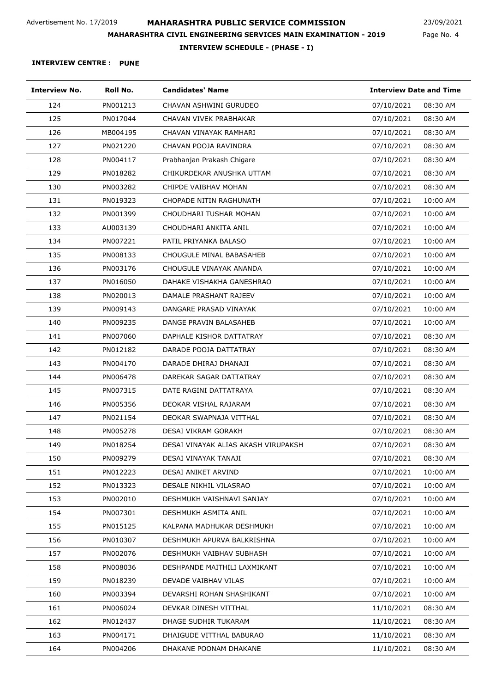Page No. 4 23/09/2021

**INTERVIEW SCHEDULE - (PHASE - I)**

| <b>Interview No.</b> | Roll No. | <b>Candidates' Name</b>             | <b>Interview Date and Time</b> |
|----------------------|----------|-------------------------------------|--------------------------------|
| 124                  | PN001213 | CHAVAN ASHWINI GURUDEO              | 07/10/2021<br>08:30 AM         |
| 125                  | PN017044 | CHAVAN VIVEK PRABHAKAR              | 07/10/2021<br>08:30 AM         |
| 126                  | MB004195 | CHAVAN VINAYAK RAMHARI              | 07/10/2021<br>08:30 AM         |
| 127                  | PN021220 | CHAVAN POOJA RAVINDRA               | 08:30 AM<br>07/10/2021         |
| 128                  | PN004117 | Prabhanjan Prakash Chigare          | 08:30 AM<br>07/10/2021         |
| 129                  | PN018282 | CHIKURDEKAR ANUSHKA UTTAM           | 07/10/2021<br>08:30 AM         |
| 130                  | PN003282 | CHIPDE VAIBHAV MOHAN                | 08:30 AM<br>07/10/2021         |
| 131                  | PN019323 | CHOPADE NITIN RAGHUNATH             | 07/10/2021<br>10:00 AM         |
| 132                  | PN001399 | CHOUDHARI TUSHAR MOHAN              | 10:00 AM<br>07/10/2021         |
| 133                  | AU003139 | CHOUDHARI ANKITA ANIL               | 07/10/2021<br>10:00 AM         |
| 134                  | PN007221 | PATIL PRIYANKA BALASO               | 07/10/2021<br>10:00 AM         |
| 135                  | PN008133 | CHOUGULE MINAL BABASAHEB            | 07/10/2021<br>10:00 AM         |
| 136                  | PN003176 | CHOUGULE VINAYAK ANANDA             | 10:00 AM<br>07/10/2021         |
| 137                  | PN016050 | DAHAKE VISHAKHA GANESHRAO           | 07/10/2021<br>10:00 AM         |
| 138                  | PN020013 | DAMALE PRASHANT RAJEEV              | 07/10/2021<br>10:00 AM         |
| 139                  | PN009143 | DANGARE PRASAD VINAYAK              | 07/10/2021<br>10:00 AM         |
| 140                  | PN009235 | DANGE PRAVIN BALASAHEB              | 10:00 AM<br>07/10/2021         |
| 141                  | PN007060 | DAPHALE KISHOR DATTATRAY            | 08:30 AM<br>07/10/2021         |
| 142                  | PN012182 | DARADE POOJA DATTATRAY              | 08:30 AM<br>07/10/2021         |
| 143                  | PN004170 | DARADE DHIRAJ DHANAJI               | 07/10/2021<br>08:30 AM         |
| 144                  | PN006478 | DAREKAR SAGAR DATTATRAY             | 08:30 AM<br>07/10/2021         |
| 145                  | PN007315 | DATE RAGINI DATTATRAYA              | 07/10/2021<br>08:30 AM         |
| 146                  | PN005356 | DEOKAR VISHAL RAJARAM               | 08:30 AM<br>07/10/2021         |
| 147                  | PN021154 | DEOKAR SWAPNAJA VITTHAL             | 07/10/2021<br>08:30 AM         |
| 148                  | PN005278 | DESAI VIKRAM GORAKH                 | 07/10/2021<br>08:30 AM         |
| 149                  | PN018254 | DESAI VINAYAK ALIAS AKASH VIRUPAKSH | 07/10/2021<br>08:30 AM         |
| 150                  | PN009279 | DESAI VINAYAK TANAJI                | 07/10/2021<br>08:30 AM         |
| 151                  | PN012223 | <b>DESAI ANIKET ARVIND</b>          | 07/10/2021<br>10:00 AM         |
| 152                  | PN013323 | DESALE NIKHIL VILASRAO              | 10:00 AM<br>07/10/2021         |
| 153                  | PN002010 | DESHMUKH VAISHNAVI SANJAY           | 07/10/2021<br>10:00 AM         |
| 154                  | PN007301 | DESHMUKH ASMITA ANIL                | 07/10/2021<br>10:00 AM         |
| 155                  | PN015125 | KALPANA MADHUKAR DESHMUKH           | 07/10/2021<br>10:00 AM         |
| 156                  | PN010307 | DESHMUKH APURVA BALKRISHNA          | 07/10/2021<br>10:00 AM         |
| 157                  | PN002076 | DESHMUKH VAIBHAV SUBHASH            | 07/10/2021<br>10:00 AM         |
| 158                  | PN008036 | DESHPANDE MAITHILI LAXMIKANT        | 07/10/2021<br>10:00 AM         |
| 159                  | PN018239 | DEVADE VAIBHAV VILAS                | 07/10/2021<br>10:00 AM         |
| 160                  | PN003394 | DEVARSHI ROHAN SHASHIKANT           | 10:00 AM<br>07/10/2021         |
| 161                  | PN006024 | DEVKAR DINESH VITTHAL               | 11/10/2021<br>08:30 AM         |
| 162                  | PN012437 | DHAGE SUDHIR TUKARAM                | 11/10/2021<br>08:30 AM         |
| 163                  | PN004171 | DHAIGUDE VITTHAL BABURAO            | 11/10/2021<br>08:30 AM         |
| 164                  | PN004206 | DHAKANE POONAM DHAKANE              | 11/10/2021<br>08:30 AM         |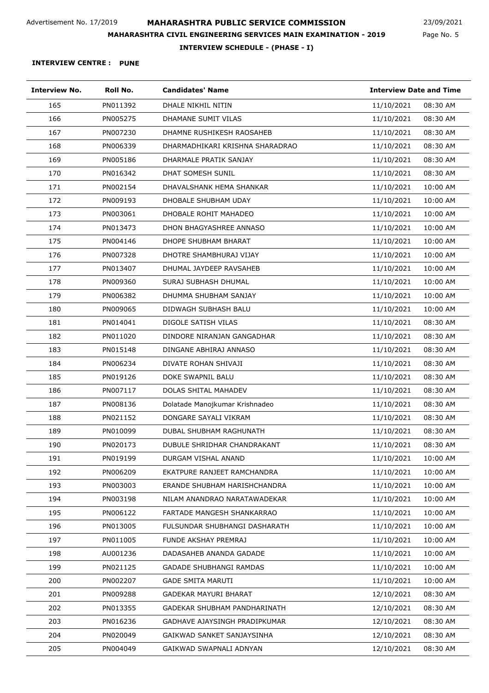Page No. 5 23/09/2021

**INTERVIEW SCHEDULE - (PHASE - I)**

| <b>Interview No.</b> | Roll No. | <b>Candidates' Name</b>         | <b>Interview Date and Time</b> |
|----------------------|----------|---------------------------------|--------------------------------|
| 165                  | PN011392 | DHALE NIKHIL NITIN              | 11/10/2021<br>08:30 AM         |
| 166                  | PN005275 | DHAMANE SUMIT VILAS             | 11/10/2021<br>08:30 AM         |
| 167                  | PN007230 | DHAMNE RUSHIKESH RAOSAHEB       | 11/10/2021<br>08:30 AM         |
| 168                  | PN006339 | DHARMADHIKARI KRISHNA SHARADRAO | 11/10/2021<br>08:30 AM         |
| 169                  | PN005186 | DHARMALE PRATIK SANJAY          | 08:30 AM<br>11/10/2021         |
| 170                  | PN016342 | <b>DHAT SOMESH SUNIL</b>        | 11/10/2021<br>08:30 AM         |
| 171                  | PN002154 | DHAVALSHANK HEMA SHANKAR        | 11/10/2021<br>10:00 AM         |
| 172                  | PN009193 | DHOBALE SHUBHAM UDAY            | 11/10/2021<br>10:00 AM         |
| 173                  | PN003061 | DHOBALE ROHIT MAHADEO           | 10:00 AM<br>11/10/2021         |
| 174                  | PN013473 | DHON BHAGYASHREE ANNASO         | 11/10/2021<br>10:00 AM         |
| 175                  | PN004146 | DHOPE SHUBHAM BHARAT            | 11/10/2021<br>10:00 AM         |
| 176                  | PN007328 | DHOTRE SHAMBHURAJ VIJAY         | 11/10/2021<br>10:00 AM         |
| 177                  | PN013407 | DHUMAL JAYDEEP RAVSAHEB         | 11/10/2021<br>10:00 AM         |
| 178                  | PN009360 | SURAJ SUBHASH DHUMAL            | 11/10/2021<br>10:00 AM         |
| 179                  | PN006382 | DHUMMA SHUBHAM SANJAY           | 11/10/2021<br>10:00 AM         |
| 180                  | PN009065 | DIDWAGH SUBHASH BALU            | 11/10/2021<br>10:00 AM         |
| 181                  | PN014041 | DIGOLE SATISH VILAS             | 08:30 AM<br>11/10/2021         |
| 182                  | PN011020 | DINDORE NIRANJAN GANGADHAR      | 11/10/2021<br>08:30 AM         |
| 183                  | PN015148 | DINGANE ABHIRAJ ANNASO          | 11/10/2021<br>08:30 AM         |
| 184                  | PN006234 | DIVATE ROHAN SHIVAJI            | 11/10/2021<br>08:30 AM         |
| 185                  | PN019126 | DOKE SWAPNIL BALU               | 11/10/2021<br>08:30 AM         |
| 186                  | PN007117 | DOLAS SHITAL MAHADEV            | 08:30 AM<br>11/10/2021         |
| 187                  | PN008136 | Dolatade Manojkumar Krishnadeo  | 08:30 AM<br>11/10/2021         |
| 188                  | PN021152 | DONGARE SAYALI VIKRAM           | 11/10/2021<br>08:30 AM         |
| 189                  | PN010099 | DUBAL SHUBHAM RAGHUNATH         | 11/10/2021<br>08:30 AM         |
| 190                  | PN020173 | DUBULE SHRIDHAR CHANDRAKANT     | 11/10/2021<br>08:30 AM         |
| 191                  | PN019199 | DURGAM VISHAL ANAND             | 11/10/2021<br>10:00 AM         |
| 192                  | PN006209 | EKATPURE RANJEET RAMCHANDRA     | 10:00 AM<br>11/10/2021         |
| 193                  | PN003003 | ERANDE SHUBHAM HARISHCHANDRA    | 11/10/2021<br>10:00 AM         |
| 194                  | PN003198 | NILAM ANANDRAO NARATAWADEKAR    | 11/10/2021<br>10:00 AM         |
| 195                  | PN006122 | FARTADE MANGESH SHANKARRAO      | 11/10/2021<br>10:00 AM         |
| 196                  | PN013005 | FULSUNDAR SHUBHANGI DASHARATH   | 11/10/2021<br>10:00 AM         |
| 197                  | PN011005 | FUNDE AKSHAY PREMRAJ            | 11/10/2021<br>10:00 AM         |
| 198                  | AU001236 | DADASAHEB ANANDA GADADE         | 11/10/2021<br>10:00 AM         |
| 199                  | PN021125 | GADADE SHUBHANGI RAMDAS         | 11/10/2021<br>10:00 AM         |
| 200                  | PN002207 | <b>GADE SMITA MARUTI</b>        | 11/10/2021<br>10:00 AM         |
| 201                  | PN009288 | <b>GADEKAR MAYURI BHARAT</b>    | 12/10/2021<br>08:30 AM         |
| 202                  | PN013355 | GADEKAR SHUBHAM PANDHARINATH    | 12/10/2021<br>08:30 AM         |
| 203                  | PN016236 | GADHAVE AJAYSINGH PRADIPKUMAR   | 12/10/2021<br>08:30 AM         |
| 204                  | PN020049 | GAIKWAD SANKET SANJAYSINHA      | 12/10/2021<br>08:30 AM         |
| 205                  | PN004049 | GAIKWAD SWAPNALI ADNYAN         | 12/10/2021<br>08:30 AM         |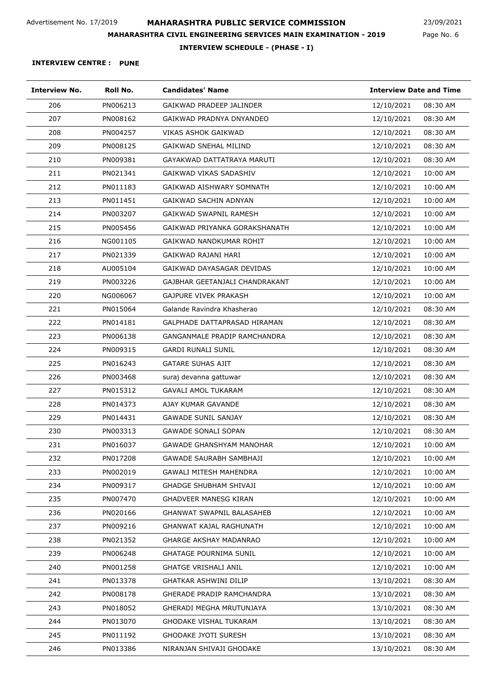Page No. 6 23/09/2021

**INTERVIEW SCHEDULE - (PHASE - I)**

| <b>Interview No.</b> | Roll No. | <b>Candidates' Name</b>          | <b>Interview Date and Time</b> |
|----------------------|----------|----------------------------------|--------------------------------|
| 206                  | PN006213 | GAIKWAD PRADEEP JALINDER         | 12/10/2021<br>08:30 AM         |
| 207                  | PN008162 | GAIKWAD PRADNYA DNYANDEO         | 12/10/2021<br>08:30 AM         |
| 208                  | PN004257 | VIKAS ASHOK GAIKWAD              | 08:30 AM<br>12/10/2021         |
| 209                  | PN008125 | <b>GAIKWAD SNEHAL MILIND</b>     | 12/10/2021<br>08:30 AM         |
| 210                  | PN009381 | GAYAKWAD DATTATRAYA MARUTI       | 12/10/2021<br>08:30 AM         |
| 211                  | PN021341 | GAIKWAD VIKAS SADASHIV           | 12/10/2021<br>10:00 AM         |
| 212                  | PN011183 | GAIKWAD AISHWARY SOMNATH         | 12/10/2021<br>10:00 AM         |
| 213                  | PN011451 | GAIKWAD SACHIN ADNYAN            | 12/10/2021<br>10:00 AM         |
| 214                  | PN003207 | GAIKWAD SWAPNIL RAMESH           | 10:00 AM<br>12/10/2021         |
| 215                  | PN005456 | GAIKWAD PRIYANKA GORAKSHANATH    | 10:00 AM<br>12/10/2021         |
| 216                  | NG001105 | GAIKWAD NANDKUMAR ROHIT          | 12/10/2021<br>10:00 AM         |
| 217                  | PN021339 | GAIKWAD RAJANI HARI              | 12/10/2021<br>10:00 AM         |
| 218                  | AU005104 | GAIKWAD DAYASAGAR DEVIDAS        | 10:00 AM<br>12/10/2021         |
| 219                  | PN003226 | GAJBHAR GEETANJALI CHANDRAKANT   | 10:00 AM<br>12/10/2021         |
| 220                  | NG006067 | GAJPURE VIVEK PRAKASH            | 12/10/2021<br>10:00 AM         |
| 221                  | PN015064 | Galande Ravindra Khasherao       | 12/10/2021<br>08:30 AM         |
| 222                  | PN014181 | GALPHADE DATTAPRASAD HIRAMAN     | 08:30 AM<br>12/10/2021         |
| 223                  | PN006138 | GANGANMALE PRADIP RAMCHANDRA     | 12/10/2021<br>08:30 AM         |
| 224                  | PN009315 | <b>GARDI RUNALI SUNIL</b>        | 12/10/2021<br>08:30 AM         |
| 225                  | PN016243 | <b>GATARE SUHAS AJIT</b>         | 12/10/2021<br>08:30 AM         |
| 226                  | PN003468 | suraj devanna gattuwar           | 12/10/2021<br>08:30 AM         |
| 227                  | PN015312 | <b>GAVALI AMOL TUKARAM</b>       | 12/10/2021<br>08:30 AM         |
| 228                  | PN014373 | AJAY KUMAR GAVANDE               | 08:30 AM<br>12/10/2021         |
| 229                  | PN014431 | <b>GAWADE SUNIL SANJAY</b>       | 12/10/2021<br>08:30 AM         |
| 230                  | PN003313 | <b>GAWADE SONALI SOPAN</b>       | 08:30 AM<br>12/10/2021         |
| 231                  | PN016037 | <b>GAWADE GHANSHYAM MANOHAR</b>  | 12/10/2021<br>10:00 AM         |
| 232                  | PN017208 | GAWADE SAURABH SAMBHAJI          | 12/10/2021<br>10:00 AM         |
| 233                  | PN002019 | <b>GAWALI MITESH MAHENDRA</b>    | 12/10/2021<br>10:00 AM         |
| 234                  | PN009317 | <b>GHADGE SHUBHAM SHIVAJI</b>    | 12/10/2021<br>10:00 AM         |
| 235                  | PN007470 | <b>GHADVEER MANESG KIRAN</b>     | 12/10/2021<br>10:00 AM         |
| 236                  | PN020166 | <b>GHANWAT SWAPNIL BALASAHEB</b> | 12/10/2021<br>10:00 AM         |
| 237                  | PN009216 | <b>GHANWAT KAJAL RAGHUNATH</b>   | 12/10/2021<br>10:00 AM         |
| 238                  | PN021352 | <b>GHARGE AKSHAY MADANRAO</b>    | 12/10/2021<br>10:00 AM         |
| 239                  | PN006248 | <b>GHATAGE POURNIMA SUNIL</b>    | 10:00 AM<br>12/10/2021         |
| 240                  | PN001258 | <b>GHATGE VRISHALI ANIL</b>      | 12/10/2021<br>10:00 AM         |
| 241                  | PN013378 | GHATKAR ASHWINI DILIP            | 13/10/2021<br>08:30 AM         |
| 242                  | PN008178 | GHERADE PRADIP RAMCHANDRA        | 13/10/2021<br>08:30 AM         |
| 243                  | PN018052 | GHERADI MEGHA MRUTUNJAYA         | 13/10/2021<br>08:30 AM         |
| 244                  | PN013070 | <b>GHODAKE VISHAL TUKARAM</b>    | 13/10/2021<br>08:30 AM         |
| 245                  | PN011192 | <b>GHODAKE JYOTI SURESH</b>      | 13/10/2021<br>08:30 AM         |
| 246                  | PN013386 | NIRANJAN SHIVAJI GHODAKE         | 13/10/2021<br>08:30 AM         |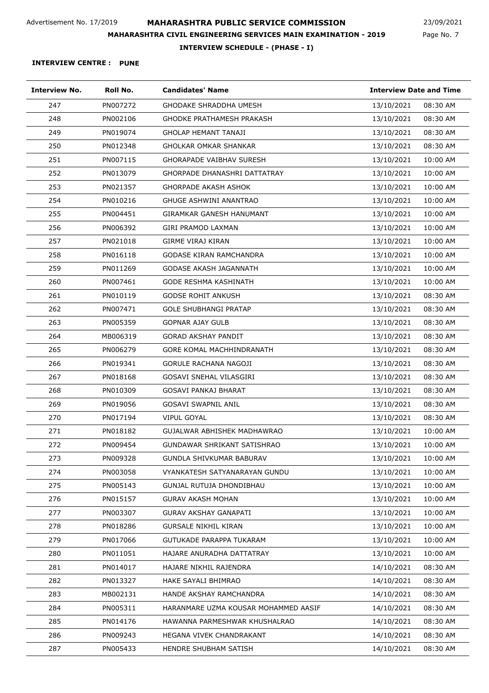Page No. 7 23/09/2021

**INTERVIEW SCHEDULE - (PHASE - I)**

| <b>Interview No.</b> | Roll No. | <b>Candidates' Name</b>              | <b>Interview Date and Time</b> |          |
|----------------------|----------|--------------------------------------|--------------------------------|----------|
| 247                  | PN007272 | <b>GHODAKE SHRADDHA UMESH</b>        | 13/10/2021                     | 08:30 AM |
| 248                  | PN002106 | GHODKE PRATHAMESH PRAKASH            | 13/10/2021                     | 08:30 AM |
| 249                  | PN019074 | GHOLAP HEMANT TANAJI                 | 13/10/2021                     | 08:30 AM |
| 250                  | PN012348 | GHOLKAR OMKAR SHANKAR                | 13/10/2021                     | 08:30 AM |
| 251                  | PN007115 | GHORAPADE VAIBHAV SURESH             | 13/10/2021                     | 10:00 AM |
| 252                  | PN013079 | GHORPADE DHANASHRI DATTATRAY         | 13/10/2021                     | 10:00 AM |
| 253                  | PN021357 | GHORPADE AKASH ASHOK                 | 13/10/2021                     | 10:00 AM |
| 254                  | PN010216 | <b>GHUGE ASHWINI ANANTRAO</b>        | 13/10/2021                     | 10:00 AM |
| 255                  | PN004451 | GIRAMKAR GANESH HANUMANT             | 13/10/2021                     | 10:00 AM |
| 256                  | PN006392 | GIRI PRAMOD LAXMAN                   | 13/10/2021                     | 10:00 AM |
| 257                  | PN021018 | GIRME VIRAJ KIRAN                    | 13/10/2021                     | 10:00 AM |
| 258                  | PN016118 | GODASE KIRAN RAMCHANDRA              | 13/10/2021                     | 10:00 AM |
| 259                  | PN011269 | GODASE AKASH JAGANNATH               | 13/10/2021                     | 10:00 AM |
| 260                  | PN007461 | GODE RESHMA KASHINATH                | 13/10/2021                     | 10:00 AM |
| 261                  | PN010119 | <b>GODSE ROHIT ANKUSH</b>            | 13/10/2021                     | 08:30 AM |
| 262                  | PN007471 | <b>GOLE SHUBHANGI PRATAP</b>         | 13/10/2021                     | 08:30 AM |
| 263                  | PN005359 | <b>GOPNAR AJAY GULB</b>              | 13/10/2021                     | 08:30 AM |
| 264                  | MB006319 | GORAD AKSHAY PANDIT                  | 13/10/2021                     | 08:30 AM |
| 265                  | PN006279 | GORE KOMAL MACHHINDRANATH            | 13/10/2021                     | 08:30 AM |
| 266                  | PN019341 | GORULE RACHANA NAGOJI                | 13/10/2021                     | 08:30 AM |
| 267                  | PN018168 | GOSAVI SNEHAL VILASGIRI              | 13/10/2021                     | 08:30 AM |
| 268                  | PN010309 | GOSAVI PANKAJ BHARAT                 | 13/10/2021                     | 08:30 AM |
| 269                  | PN019056 | GOSAVI SWAPNIL ANIL                  | 13/10/2021                     | 08:30 AM |
| 270                  | PN017194 | VIPUL GOYAL                          | 13/10/2021                     | 08:30 AM |
| 271                  | PN018182 | GUJALWAR ABHISHEK MADHAWRAO          | 13/10/2021                     | 10:00 AM |
| 272                  | PN009454 | GUNDAWAR SHRIKANT SATISHRAO          | 13/10/2021                     | 10:00 AM |
| 273                  | PN009328 | GUNDLA SHIVKUMAR BABURAV             | 13/10/2021                     | 10:00 AM |
| 274                  | PN003058 | VYANKATESH SATYANARAYAN GUNDU        | 13/10/2021                     | 10:00 AM |
| 275                  | PN005143 | GUNJAL RUTUJA DHONDIBHAU             | 13/10/2021                     | 10:00 AM |
| 276                  | PN015157 | GURAV AKASH MOHAN                    | 13/10/2021                     | 10:00 AM |
| 277                  | PN003307 | <b>GURAV AKSHAY GANAPATI</b>         | 13/10/2021                     | 10:00 AM |
| 278                  | PN018286 | <b>GURSALE NIKHIL KIRAN</b>          | 13/10/2021                     | 10:00 AM |
| 279                  | PN017066 | GUTUKADE PARAPPA TUKARAM             | 13/10/2021                     | 10:00 AM |
| 280                  | PN011051 | HAJARE ANURADHA DATTATRAY            | 13/10/2021                     | 10:00 AM |
| 281                  | PN014017 | HAJARE NIKHIL RAJENDRA               | 14/10/2021                     | 08:30 AM |
| 282                  | PN013327 | HAKE SAYALI BHIMRAO                  | 14/10/2021                     | 08:30 AM |
| 283                  | MB002131 | HANDE AKSHAY RAMCHANDRA              | 14/10/2021                     | 08:30 AM |
| 284                  | PN005311 | HARANMARE UZMA KOUSAR MOHAMMED AASIF | 14/10/2021                     | 08:30 AM |
| 285                  | PN014176 | HAWANNA PARMESHWAR KHUSHALRAO        | 14/10/2021                     | 08:30 AM |
| 286                  | PN009243 | HEGANA VIVEK CHANDRAKANT             | 14/10/2021                     | 08:30 AM |
| 287                  | PN005433 | HENDRE SHUBHAM SATISH                | 14/10/2021                     | 08:30 AM |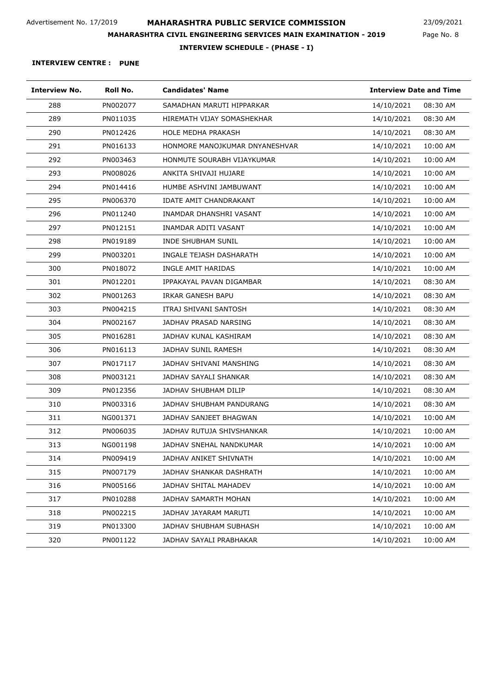Page No. 8 23/09/2021

**INTERVIEW SCHEDULE - (PHASE - I)**

| <b>Interview No.</b> | Roll No. | <b>Candidates' Name</b>        | <b>Interview Date and Time</b> |          |
|----------------------|----------|--------------------------------|--------------------------------|----------|
| 288                  | PN002077 | SAMADHAN MARUTI HIPPARKAR      | 14/10/2021                     | 08:30 AM |
| 289                  | PN011035 | HIREMATH VIJAY SOMASHEKHAR     | 14/10/2021                     | 08:30 AM |
| 290                  | PN012426 | <b>HOLE MEDHA PRAKASH</b>      | 14/10/2021                     | 08:30 AM |
| 291                  | PN016133 | HONMORE MANOJKUMAR DNYANESHVAR | 14/10/2021                     | 10:00 AM |
| 292                  | PN003463 | HONMUTE SOURABH VIJAYKUMAR     | 14/10/2021                     | 10:00 AM |
| 293                  | PN008026 | ANKITA SHIVAJI HUJARE          | 14/10/2021                     | 10:00 AM |
| 294                  | PN014416 | HUMBE ASHVINI JAMBUWANT        | 14/10/2021                     | 10:00 AM |
| 295                  | PN006370 | <b>IDATE AMIT CHANDRAKANT</b>  | 14/10/2021                     | 10:00 AM |
| 296                  | PN011240 | INAMDAR DHANSHRI VASANT        | 14/10/2021                     | 10:00 AM |
| 297                  | PN012151 | INAMDAR ADITI VASANT           | 14/10/2021                     | 10:00 AM |
| 298                  | PN019189 | <b>INDE SHUBHAM SUNIL</b>      | 14/10/2021                     | 10:00 AM |
| 299                  | PN003201 | INGALE TEJASH DASHARATH        | 14/10/2021                     | 10:00 AM |
| 300                  | PN018072 | INGLE AMIT HARIDAS             | 14/10/2021                     | 10:00 AM |
| 301                  | PN012201 | IPPAKAYAL PAVAN DIGAMBAR       | 14/10/2021                     | 08:30 AM |
| 302                  | PN001263 | IRKAR GANESH BAPU              | 14/10/2021                     | 08:30 AM |
| 303                  | PN004215 | ITRAJ SHIVANI SANTOSH          | 14/10/2021                     | 08:30 AM |
| 304                  | PN002167 | JADHAV PRASAD NARSING          | 14/10/2021                     | 08:30 AM |
| 305                  | PN016281 | JADHAV KUNAL KASHIRAM          | 14/10/2021                     | 08:30 AM |
| 306                  | PN016113 | JADHAV SUNIL RAMESH            | 14/10/2021                     | 08:30 AM |
| 307                  | PN017117 | JADHAV SHIVANI MANSHING        | 14/10/2021                     | 08:30 AM |
| 308                  | PN003121 | JADHAV SAYALI SHANKAR          | 14/10/2021                     | 08:30 AM |
| 309                  | PN012356 | JADHAV SHUBHAM DILIP           | 14/10/2021                     | 08:30 AM |
| 310                  | PN003316 | JADHAV SHUBHAM PANDURANG       | 14/10/2021                     | 08:30 AM |
| 311                  | NG001371 | JADHAV SANJEET BHAGWAN         | 14/10/2021                     | 10:00 AM |
| 312                  | PN006035 | JADHAV RUTUJA SHIVSHANKAR      | 14/10/2021                     | 10:00 AM |
| 313                  | NG001198 | JADHAV SNEHAL NANDKUMAR        | 14/10/2021                     | 10:00 AM |
| 314                  | PN009419 | JADHAV ANIKET SHIVNATH         | 14/10/2021                     | 10:00 AM |
| 315                  | PN007179 | JADHAV SHANKAR DASHRATH        | 14/10/2021                     | 10:00 AM |
| 316                  | PN005166 | JADHAV SHITAL MAHADEV          | 14/10/2021                     | 10:00 AM |
| 317                  | PN010288 | JADHAV SAMARTH MOHAN           | 14/10/2021                     | 10:00 AM |
| 318                  | PN002215 | JADHAV JAYARAM MARUTI          | 14/10/2021                     | 10:00 AM |
| 319                  | PN013300 | JADHAV SHUBHAM SUBHASH         | 14/10/2021                     | 10:00 AM |
| 320                  | PN001122 | JADHAV SAYALI PRABHAKAR        | 14/10/2021                     | 10:00 AM |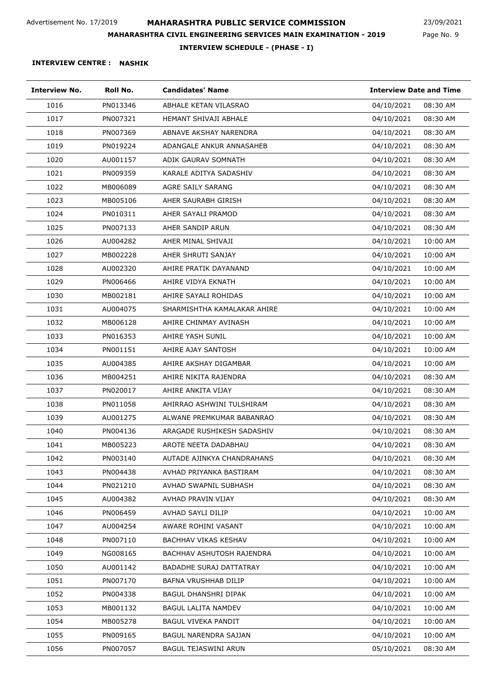Page No. 9 23/09/2021

**INTERVIEW SCHEDULE - (PHASE - I)**

| <b>Interview No.</b> | Roll No. | <b>Candidates' Name</b>        | <b>Interview Date and Time</b> |
|----------------------|----------|--------------------------------|--------------------------------|
| 1016                 | PN013346 | ABHALE KETAN VILASRAO          | 04/10/2021<br>08:30 AM         |
| 1017                 | PN007321 | HEMANT SHIVAJI ABHALE          | 04/10/2021<br>08:30 AM         |
| 1018                 | PN007369 | ABNAVE AKSHAY NARENDRA         | 08:30 AM<br>04/10/2021         |
| 1019                 | PN019224 | ADANGALE ANKUR ANNASAHEB       | 08:30 AM<br>04/10/2021         |
| 1020                 | AU001157 | ADIK GAURAV SOMNATH            | 04/10/2021<br>08:30 AM         |
| 1021                 | PN009359 | KARALE ADITYA SADASHIV         | 04/10/2021<br>08:30 AM         |
| 1022                 | MB006089 | AGRE SAILY SARANG              | 04/10/2021<br>08:30 AM         |
| 1023                 | MB005106 | AHER SAURABH GIRISH            | 04/10/2021<br>08:30 AM         |
| 1024                 | PN010311 | AHER SAYALI PRAMOD             | 04/10/2021<br>08:30 AM         |
| 1025                 | PN007133 | AHER SANDIP ARUN               | 08:30 AM<br>04/10/2021         |
| 1026                 | AU004282 | AHER MINAL SHIVAJI             | 10:00 AM<br>04/10/2021         |
| 1027                 | MB002228 | AHER SHRUTI SANJAY             | 04/10/2021<br>10:00 AM         |
| 1028                 | AU002320 | AHIRE PRATIK DAYANAND          | 04/10/2021<br>10:00 AM         |
| 1029                 | PN006466 | AHIRE VIDYA EKNATH             | 04/10/2021<br>10:00 AM         |
| 1030                 | MB002181 | AHIRE SAYALI ROHIDAS           | 04/10/2021<br>10:00 AM         |
| 1031                 | AU004075 | SHARMISHTHA KAMALAKAR AHIRE    | 04/10/2021<br>10:00 AM         |
| 1032                 | MB006128 | AHIRE CHINMAY AVINASH          | 04/10/2021<br>10:00 AM         |
| 1033                 | PN016353 | AHIRE YASH SUNIL               | 10:00 AM<br>04/10/2021         |
| 1034                 | PN001151 | AHIRE AJAY SANTOSH             | 10:00 AM<br>04/10/2021         |
| 1035                 | AU004385 | AHIRE AKSHAY DIGAMBAR          | 04/10/2021<br>10:00 AM         |
| 1036                 | MB004251 | AHIRE NIKITA RAJENDRA          | 04/10/2021<br>08:30 AM         |
| 1037                 | PN020017 | AHIRE ANKITA VIJAY             | 04/10/2021<br>08:30 AM         |
| 1038                 | PN011058 | AHIRRAO ASHWINI TULSHIRAM      | 08:30 AM<br>04/10/2021         |
| 1039                 | AU001275 | ALWANE PREMKUMAR BABANRAO      | 04/10/2021<br>08:30 AM         |
| 1040                 | PN004136 | ARAGADE RUSHIKESH SADASHIV     | 04/10/2021<br>08:30 AM         |
| 1041                 | MB005223 | AROTE NEETA DADABHAU           | 08:30 AM<br>04/10/2021         |
| 1042                 | PN003140 | AUTADE AJINKYA CHANDRAHANS     | 04/10/2021<br>08:30 AM         |
| 1043                 | PN004438 | AVHAD PRIYANKA BASTIRAM        | 04/10/2021<br>08:30 AM         |
| 1044                 | PN021210 | AVHAD SWAPNIL SUBHASH          | 04/10/2021<br>08:30 AM         |
| 1045                 | AU004382 | AVHAD PRAVIN VIJAY             | 04/10/2021<br>08:30 AM         |
| 1046                 | PN006459 | AVHAD SAYLI DILIP              | 10:00 AM<br>04/10/2021         |
| 1047                 | AU004254 | AWARE ROHINI VASANT            | 10:00 AM<br>04/10/2021         |
| 1048                 | PN007110 | <b>BACHHAV VIKAS KESHAV</b>    | 04/10/2021<br>10:00 AM         |
| 1049                 | NG008165 | BACHHAV ASHUTOSH RAJENDRA      | 10:00 AM<br>04/10/2021         |
| 1050                 | AU001142 | <b>BADADHE SURAJ DATTATRAY</b> | 10:00 AM<br>04/10/2021         |
| 1051                 | PN007170 | BAFNA VRUSHHAB DILIP           | 04/10/2021<br>10:00 AM         |
| 1052                 | PN004338 | <b>BAGUL DHANSHRI DIPAK</b>    | 04/10/2021<br>10:00 AM         |
| 1053                 | MB001132 | <b>BAGUL LALITA NAMDEV</b>     | 10:00 AM<br>04/10/2021         |
| 1054                 | MB005278 | BAGUL VIVEKA PANDIT            | 10:00 AM<br>04/10/2021         |
| 1055                 | PN009165 | BAGUL NARENDRA SAJJAN          | 10:00 AM<br>04/10/2021         |
| 1056                 | PN007057 | <b>BAGUL TEJASWINI ARUN</b>    | 05/10/2021<br>08:30 AM         |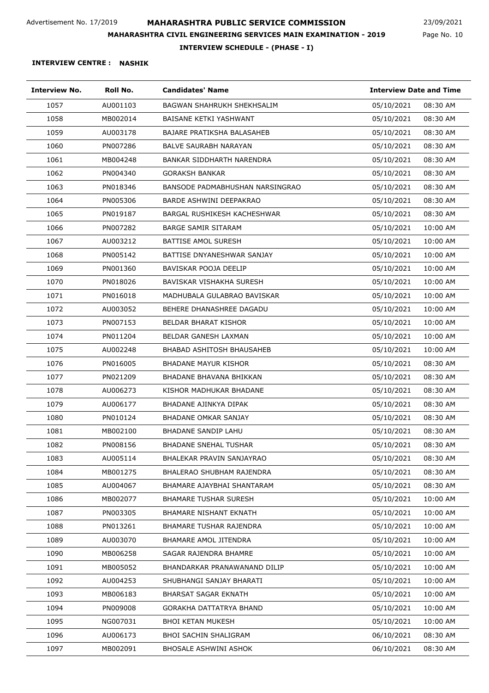Page No. 10 23/09/2021

**INTERVIEW SCHEDULE - (PHASE - I)**

| <b>Interview No.</b> | Roll No. | <b>Candidates' Name</b>          | <b>Interview Date and Time</b> |
|----------------------|----------|----------------------------------|--------------------------------|
| 1057                 | AU001103 | BAGWAN SHAHRUKH SHEKHSALIM       | 05/10/2021<br>08:30 AM         |
| 1058                 | MB002014 | BAISANE KETKI YASHWANT           | 08:30 AM<br>05/10/2021         |
| 1059                 | AU003178 | BAJARE PRATIKSHA BALASAHEB       | 05/10/2021<br>08:30 AM         |
| 1060                 | PN007286 | <b>BALVE SAURABH NARAYAN</b>     | 05/10/2021<br>08:30 AM         |
| 1061                 | MB004248 | BANKAR SIDDHARTH NARENDRA        | 08:30 AM<br>05/10/2021         |
| 1062                 | PN004340 | <b>GORAKSH BANKAR</b>            | 05/10/2021<br>08:30 AM         |
| 1063                 | PN018346 | BANSODE PADMABHUSHAN NARSINGRAO  | 08:30 AM<br>05/10/2021         |
| 1064                 | PN005306 | BARDE ASHWINI DEEPAKRAO          | 05/10/2021<br>08:30 AM         |
| 1065                 | PN019187 | BARGAL RUSHIKESH KACHESHWAR      | 05/10/2021<br>08:30 AM         |
| 1066                 | PN007282 | <b>BARGE SAMIR SITARAM</b>       | 10:00 AM<br>05/10/2021         |
| 1067                 | AU003212 | <b>BATTISE AMOL SURESH</b>       | 10:00 AM<br>05/10/2021         |
| 1068                 | PN005142 | BATTISE DNYANESHWAR SANJAY       | 05/10/2021<br>10:00 AM         |
| 1069                 | PN001360 | BAVISKAR POOJA DEELIP            | 05/10/2021<br>10:00 AM         |
| 1070                 | PN018026 | BAVISKAR VISHAKHA SURESH         | 05/10/2021<br>10:00 AM         |
| 1071                 | PN016018 | MADHUBALA GULABRAO BAVISKAR      | 05/10/2021<br>10:00 AM         |
| 1072                 | AU003052 | BEHERE DHANASHREE DAGADU         | 05/10/2021<br>10:00 AM         |
| 1073                 | PN007153 | <b>BELDAR BHARAT KISHOR</b>      | 10:00 AM<br>05/10/2021         |
| 1074                 | PN011204 | BELDAR GANESH LAXMAN             | 05/10/2021<br>10:00 AM         |
| 1075                 | AU002248 | BHABAD ASHITOSH BHAUSAHEB        | 05/10/2021<br>10:00 AM         |
| 1076                 | PN016005 | <b>BHADANE MAYUR KISHOR</b>      | 05/10/2021<br>08:30 AM         |
| 1077                 | PN021209 | BHADANE BHAVANA BHIKKAN          | 08:30 AM<br>05/10/2021         |
| 1078                 | AU006273 | KISHOR MADHUKAR BHADANE          | 05/10/2021<br>08:30 AM         |
| 1079                 | AU006177 | BHADANE AJINKYA DIPAK            | 05/10/2021<br>08:30 AM         |
| 1080                 | PN010124 | BHADANE OMKAR SANJAY             | 05/10/2021<br>08:30 AM         |
| 1081                 | MB002100 | <b>BHADANE SANDIP LAHU</b>       | 05/10/2021<br>08:30 AM         |
| 1082                 | PN008156 | <b>BHADANE SNEHAL TUSHAR</b>     | 08:30 AM<br>05/10/2021         |
| 1083                 | AU005114 | BHALEKAR PRAVIN SANJAYRAO        | 05/10/2021<br>08:30 AM         |
| 1084                 | MB001275 | <b>BHALERAO SHUBHAM RAJENDRA</b> | 05/10/2021<br>08:30 AM         |
| 1085                 | AU004067 | BHAMARE AJAYBHAI SHANTARAM       | 08:30 AM<br>05/10/2021         |
| 1086                 | MB002077 | <b>BHAMARE TUSHAR SURESH</b>     | 10:00 AM<br>05/10/2021         |
| 1087                 | PN003305 | BHAMARE NISHANT EKNATH           | 05/10/2021<br>10:00 AM         |
| 1088                 | PN013261 | BHAMARE TUSHAR RAJENDRA          | 05/10/2021<br>10:00 AM         |
| 1089                 | AU003070 | <b>BHAMARE AMOL JITENDRA</b>     | 10:00 AM<br>05/10/2021         |
| 1090                 | MB006258 | SAGAR RAJENDRA BHAMRE            | 05/10/2021<br>10:00 AM         |
| 1091                 | MB005052 | BHANDARKAR PRANAWANAND DILIP     | 05/10/2021<br>10:00 AM         |
| 1092                 | AU004253 | SHUBHANGI SANJAY BHARATI         | 05/10/2021<br>10:00 AM         |
| 1093                 | MB006183 | <b>BHARSAT SAGAR EKNATH</b>      | 05/10/2021<br>10:00 AM         |
| 1094                 | PN009008 | GORAKHA DATTATRYA BHAND          | 05/10/2021<br>10:00 AM         |
| 1095                 | NG007031 | <b>BHOI KETAN MUKESH</b>         | 05/10/2021<br>10:00 AM         |
| 1096                 | AU006173 | <b>BHOI SACHIN SHALIGRAM</b>     | 06/10/2021<br>08:30 AM         |
| 1097                 | MB002091 | <b>BHOSALE ASHWINI ASHOK</b>     | 06/10/2021<br>08:30 AM         |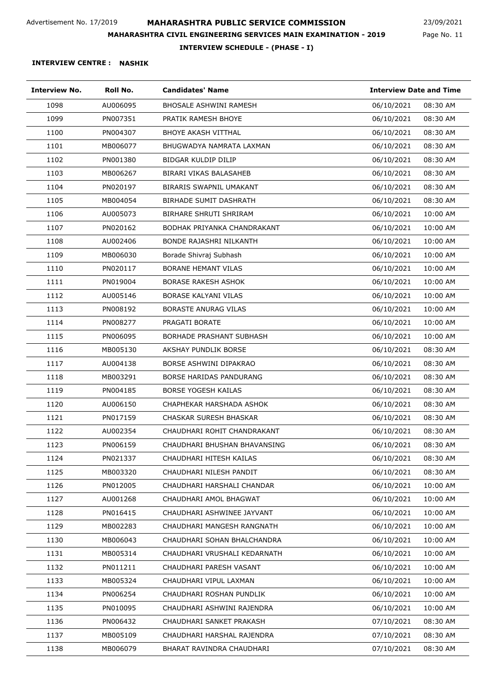Page No. 11 23/09/2021

**INTERVIEW SCHEDULE - (PHASE - I)**

| <b>Interview No.</b> | Roll No. | <b>Candidates' Name</b>        | <b>Interview Date and Time</b> |
|----------------------|----------|--------------------------------|--------------------------------|
| 1098                 | AU006095 | <b>BHOSALE ASHWINI RAMESH</b>  | 06/10/2021<br>08:30 AM         |
| 1099                 | PN007351 | PRATIK RAMESH BHOYE            | 08:30 AM<br>06/10/2021         |
| 1100                 | PN004307 | <b>BHOYE AKASH VITTHAL</b>     | 06/10/2021<br>08:30 AM         |
| 1101                 | MB006077 | BHUGWADYA NAMRATA LAXMAN       | 08:30 AM<br>06/10/2021         |
| 1102                 | PN001380 | BIDGAR KULDIP DILIP            | 08:30 AM<br>06/10/2021         |
| 1103                 | MB006267 | BIRARI VIKAS BALASAHEB         | 06/10/2021<br>08:30 AM         |
| 1104                 | PN020197 | <b>BIRARIS SWAPNIL UMAKANT</b> | 08:30 AM<br>06/10/2021         |
| 1105                 | MB004054 | <b>BIRHADE SUMIT DASHRATH</b>  | 06/10/2021<br>08:30 AM         |
| 1106                 | AU005073 | BIRHARE SHRUTI SHRIRAM         | 10:00 AM<br>06/10/2021         |
| 1107                 | PN020162 | BODHAK PRIYANKA CHANDRAKANT    | 10:00 AM<br>06/10/2021         |
| 1108                 | AU002406 | BONDE RAJASHRI NILKANTH        | 06/10/2021<br>10:00 AM         |
| 1109                 | MB006030 | Borade Shivraj Subhash         | 06/10/2021<br>10:00 AM         |
| 1110                 | PN020117 | <b>BORANE HEMANT VILAS</b>     | 06/10/2021<br>10:00 AM         |
| 1111                 | PN019004 | <b>BORASE RAKESH ASHOK</b>     | 06/10/2021<br>10:00 AM         |
| 1112                 | AU005146 | BORASE KALYANI VILAS           | 10:00 AM<br>06/10/2021         |
| 1113                 | PN008192 | <b>BORASTE ANURAG VILAS</b>    | 06/10/2021<br>10:00 AM         |
| 1114                 | PN008277 | PRAGATI BORATE                 | 10:00 AM<br>06/10/2021         |
| 1115                 | PN006095 | BORHADE PRASHANT SUBHASH       | 10:00 AM<br>06/10/2021         |
| 1116                 | MB005130 | AKSHAY PUNDLIK BORSE           | 06/10/2021<br>08:30 AM         |
| 1117                 | AU004138 | BORSE ASHWINI DIPAKRAO         | 08:30 AM<br>06/10/2021         |
| 1118                 | MB003291 | BORSE HARIDAS PANDURANG        | 08:30 AM<br>06/10/2021         |
| 1119                 | PN004185 | <b>BORSE YOGESH KAILAS</b>     | 06/10/2021<br>08:30 AM         |
| 1120                 | AU006150 | CHAPHEKAR HARSHADA ASHOK       | 08:30 AM<br>06/10/2021         |
| 1121                 | PN017159 | <b>CHASKAR SURESH BHASKAR</b>  | 06/10/2021<br>08:30 AM         |
| 1122                 | AU002354 | CHAUDHARI ROHIT CHANDRAKANT    | 06/10/2021<br>08:30 AM         |
| 1123                 | PN006159 | CHAUDHARI BHUSHAN BHAVANSING   | 06/10/2021<br>08:30 AM         |
| 1124                 | PN021337 | CHAUDHARI HITESH KAILAS        | 06/10/2021<br>08:30 AM         |
| 1125                 | MB003320 | CHAUDHARI NILESH PANDIT        | 06/10/2021<br>08:30 AM         |
| 1126                 | PN012005 | CHAUDHARI HARSHALI CHANDAR     | 10:00 AM<br>06/10/2021         |
| 1127                 | AU001268 | CHAUDHARI AMOL BHAGWAT         | 10:00 AM<br>06/10/2021         |
| 1128                 | PN016415 | CHAUDHARI ASHWINEE JAYVANT     | 06/10/2021<br>10:00 AM         |
| 1129                 | MB002283 | CHAUDHARI MANGESH RANGNATH     | 06/10/2021<br>10:00 AM         |
| 1130                 | MB006043 | CHAUDHARI SOHAN BHALCHANDRA    | 06/10/2021<br>10:00 AM         |
| 1131                 | MB005314 | CHAUDHARI VRUSHALI KEDARNATH   | 06/10/2021<br>10:00 AM         |
| 1132                 | PN011211 | CHAUDHARI PARESH VASANT        | 06/10/2021<br>10:00 AM         |
| 1133                 | MB005324 | CHAUDHARI VIPUL LAXMAN         | 06/10/2021<br>10:00 AM         |
| 1134                 | PN006254 | CHAUDHARI ROSHAN PUNDLIK       | 10:00 AM<br>06/10/2021         |
| 1135                 | PN010095 | CHAUDHARI ASHWINI RAJENDRA     | 06/10/2021<br>10:00 AM         |
| 1136                 | PN006432 | CHAUDHARI SANKET PRAKASH       | 07/10/2021<br>08:30 AM         |
| 1137                 | MB005109 | CHAUDHARI HARSHAL RAJENDRA     | 07/10/2021<br>08:30 AM         |
| 1138                 | MB006079 | BHARAT RAVINDRA CHAUDHARI      | 07/10/2021<br>08:30 AM         |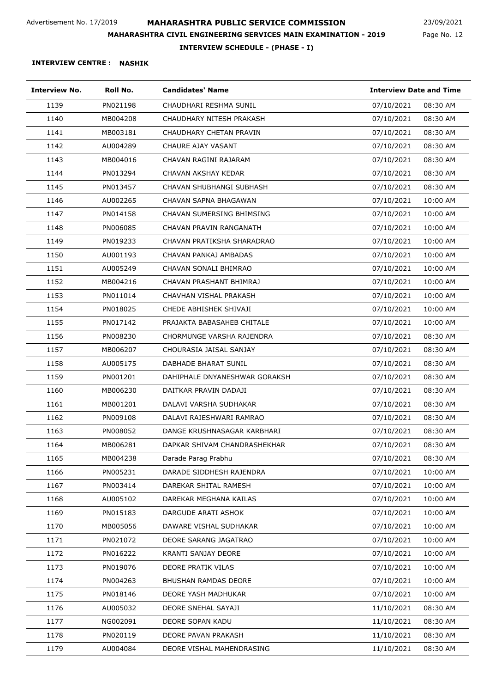Page No. 12 23/09/2021

**INTERVIEW SCHEDULE - (PHASE - I)**

| <b>Interview No.</b> | Roll No. | <b>Candidates' Name</b>       | <b>Interview Date and Time</b> |
|----------------------|----------|-------------------------------|--------------------------------|
| 1139                 | PN021198 | CHAUDHARI RESHMA SUNIL        | 07/10/2021<br>08:30 AM         |
| 1140                 | MB004208 | CHAUDHARY NITESH PRAKASH      | 08:30 AM<br>07/10/2021         |
| 1141                 | MB003181 | CHAUDHARY CHETAN PRAVIN       | 07/10/2021<br>08:30 AM         |
| 1142                 | AU004289 | CHAURE AJAY VASANT            | 07/10/2021<br>08:30 AM         |
| 1143                 | MB004016 | CHAVAN RAGINI RAJARAM         | 07/10/2021<br>08:30 AM         |
| 1144                 | PN013294 | CHAVAN AKSHAY KEDAR           | 07/10/2021<br>08:30 AM         |
| 1145                 | PN013457 | CHAVAN SHUBHANGI SUBHASH      | 08:30 AM<br>07/10/2021         |
| 1146                 | AU002265 | CHAVAN SAPNA BHAGAWAN         | 07/10/2021<br>10:00 AM         |
| 1147                 | PN014158 | CHAVAN SUMERSING BHIMSING     | 07/10/2021<br>10:00 AM         |
| 1148                 | PN006085 | CHAVAN PRAVIN RANGANATH       | 10:00 AM<br>07/10/2021         |
| 1149                 | PN019233 | CHAVAN PRATIKSHA SHARADRAO    | 10:00 AM<br>07/10/2021         |
| 1150                 | AU001193 | CHAVAN PANKAJ AMBADAS         | 07/10/2021<br>10:00 AM         |
| 1151                 | AU005249 | CHAVAN SONALI BHIMRAO         | 10:00 AM<br>07/10/2021         |
| 1152                 | MB004216 | CHAVAN PRASHANT BHIMRAJ       | 07/10/2021<br>10:00 AM         |
| 1153                 | PN011014 | CHAVHAN VISHAL PRAKASH        | 07/10/2021<br>10:00 AM         |
| 1154                 | PN018025 | CHEDE ABHISHEK SHIVAJI        | 07/10/2021<br>10:00 AM         |
| 1155                 | PN017142 | PRAJAKTA BABASAHEB CHITALE    | 10:00 AM<br>07/10/2021         |
| 1156                 | PN008230 | CHORMUNGE VARSHA RAJENDRA     | 07/10/2021<br>08:30 AM         |
| 1157                 | MB006207 | CHOURASIA JAISAL SANJAY       | 07/10/2021<br>08:30 AM         |
| 1158                 | AU005175 | DABHADE BHARAT SUNIL          | 08:30 AM<br>07/10/2021         |
| 1159                 | PN001201 | DAHIPHALE DNYANESHWAR GORAKSH | 07/10/2021<br>08:30 AM         |
| 1160                 | MB006230 | DAITKAR PRAVIN DADAJI         | 07/10/2021<br>08:30 AM         |
| 1161                 | MB001201 | DALAVI VARSHA SUDHAKAR        | 07/10/2021<br>08:30 AM         |
| 1162                 | PN009108 | DALAVI RAJESHWARI RAMRAO      | 07/10/2021<br>08:30 AM         |
| 1163                 | PN008052 | DANGE KRUSHNASAGAR KARBHARI   | 07/10/2021<br>08:30 AM         |
| 1164                 | MB006281 | DAPKAR SHIVAM CHANDRASHEKHAR  | 08:30 AM<br>07/10/2021         |
| 1165                 | MB004238 | Darade Parag Prabhu           | 07/10/2021<br>08:30 AM         |
| 1166                 | PN005231 | DARADE SIDDHESH RAJENDRA      | 07/10/2021<br>10:00 AM         |
| 1167                 | PN003414 | DAREKAR SHITAL RAMESH         | 07/10/2021<br>10:00 AM         |
| 1168                 | AU005102 | DAREKAR MEGHANA KAILAS        | 07/10/2021<br>10:00 AM         |
| 1169                 | PN015183 | DARGUDE ARATI ASHOK           | 07/10/2021<br>10:00 AM         |
| 1170                 | MB005056 | DAWARE VISHAL SUDHAKAR        | 07/10/2021<br>10:00 AM         |
| 1171                 | PN021072 | DEORE SARANG JAGATRAO         | 07/10/2021<br>10:00 AM         |
| 1172                 | PN016222 | KRANTI SANJAY DEORE           | 07/10/2021<br>10:00 AM         |
| 1173                 | PN019076 | DEORE PRATIK VILAS            | 07/10/2021<br>10:00 AM         |
| 1174                 | PN004263 | <b>BHUSHAN RAMDAS DEORE</b>   | 07/10/2021<br>10:00 AM         |
| 1175                 | PN018146 | DEORE YASH MADHUKAR           | 10:00 AM<br>07/10/2021         |
| 1176                 | AU005032 | DEORE SNEHAL SAYAJI           | 11/10/2021<br>08:30 AM         |
| 1177                 | NG002091 | DEORE SOPAN KADU              | 08:30 AM<br>11/10/2021         |
| 1178                 | PN020119 | DEORE PAVAN PRAKASH           | 08:30 AM<br>11/10/2021         |
| 1179                 | AU004084 | DEORE VISHAL MAHENDRASING     | 08:30 AM<br>11/10/2021         |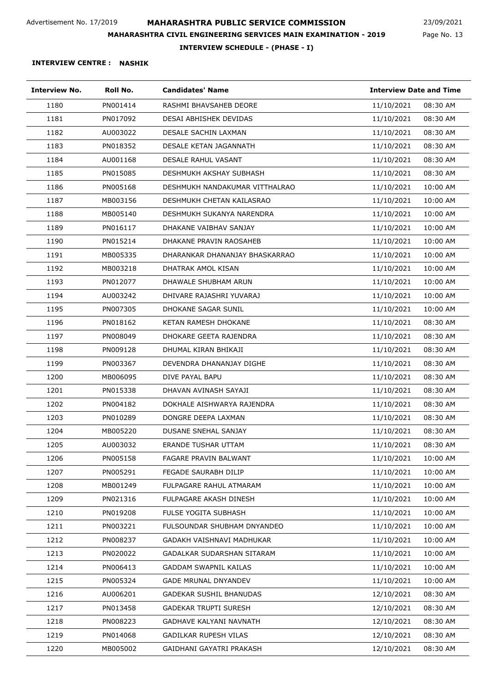Page No. 13 23/09/2021

**INTERVIEW SCHEDULE - (PHASE - I)**

| <b>Interview No.</b> | Roll No. | <b>Candidates' Name</b>        | <b>Interview Date and Time</b> |
|----------------------|----------|--------------------------------|--------------------------------|
| 1180                 | PN001414 | RASHMI BHAVSAHEB DEORE         | 11/10/2021<br>08:30 AM         |
| 1181                 | PN017092 | DESAI ABHISHEK DEVIDAS         | 11/10/2021<br>08:30 AM         |
| 1182                 | AU003022 | <b>DESALE SACHIN LAXMAN</b>    | 11/10/2021<br>08:30 AM         |
| 1183                 | PN018352 | DESALE KETAN JAGANNATH         | 11/10/2021<br>08:30 AM         |
| 1184                 | AU001168 | DESALE RAHUL VASANT            | 11/10/2021<br>08:30 AM         |
| 1185                 | PN015085 | DESHMUKH AKSHAY SUBHASH        | 11/10/2021<br>08:30 AM         |
| 1186                 | PN005168 | DESHMUKH NANDAKUMAR VITTHALRAO | 11/10/2021<br>10:00 AM         |
| 1187                 | MB003156 | DESHMUKH CHETAN KAILASRAO      | 11/10/2021<br>10:00 AM         |
| 1188                 | MB005140 | DESHMUKH SUKANYA NARENDRA      | 11/10/2021<br>10:00 AM         |
| 1189                 | PN016117 | DHAKANE VAIBHAV SANJAY         | 11/10/2021<br>10:00 AM         |
| 1190                 | PN015214 | DHAKANE PRAVIN RAOSAHEB        | 11/10/2021<br>10:00 AM         |
| 1191                 | MB005335 | DHARANKAR DHANANJAY BHASKARRAO | 11/10/2021<br>10:00 AM         |
| 1192                 | MB003218 | DHATRAK AMOL KISAN             | 11/10/2021<br>10:00 AM         |
| 1193                 | PN012077 | DHAWALE SHUBHAM ARUN           | 11/10/2021<br>10:00 AM         |
| 1194                 | AU003242 | DHIVARE RAJASHRI YUVARAJ       | 11/10/2021<br>10:00 AM         |
| 1195                 | PN007305 | DHOKANE SAGAR SUNIL            | 11/10/2021<br>10:00 AM         |
| 1196                 | PN018162 | <b>KETAN RAMESH DHOKANE</b>    | 08:30 AM<br>11/10/2021         |
| 1197                 | PN008049 | DHOKARE GEETA RAJENDRA         | 11/10/2021<br>08:30 AM         |
| 1198                 | PN009128 | DHUMAL KIRAN BHIKAJI           | 11/10/2021<br>08:30 AM         |
| 1199                 | PN003367 | DEVENDRA DHANANJAY DIGHE       | 11/10/2021<br>08:30 AM         |
| 1200                 | MB006095 | DIVE PAYAL BAPU                | 11/10/2021<br>08:30 AM         |
| 1201                 | PN015338 | DHAVAN AVINASH SAYAJI          | 11/10/2021<br>08:30 AM         |
| 1202                 | PN004182 | DOKHALE AISHWARYA RAJENDRA     | 11/10/2021<br>08:30 AM         |
| 1203                 | PN010289 | DONGRE DEEPA LAXMAN            | 11/10/2021<br>08:30 AM         |
| 1204                 | MB005220 | <b>DUSANE SNEHAL SANJAY</b>    | 11/10/2021<br>08:30 AM         |
| 1205                 | AU003032 | ERANDE TUSHAR UTTAM            | 11/10/2021<br>08:30 AM         |
| 1206                 | PN005158 | FAGARE PRAVIN BALWANT          | 11/10/2021<br>10:00 AM         |
| 1207                 | PN005291 | FEGADE SAURABH DILIP           | 11/10/2021<br>10:00 AM         |
| 1208                 | MB001249 | FULPAGARE RAHUL ATMARAM        | 11/10/2021<br>10:00 AM         |
| 1209                 | PN021316 | FULPAGARE AKASH DINESH         | 11/10/2021<br>10:00 AM         |
| 1210                 | PN019208 | <b>FULSE YOGITA SUBHASH</b>    | 11/10/2021<br>10:00 AM         |
| 1211                 | PN003221 | FULSOUNDAR SHUBHAM DNYANDEO    | 11/10/2021<br>10:00 AM         |
| 1212                 | PN008237 | GADAKH VAISHNAVI MADHUKAR      | 11/10/2021<br>10:00 AM         |
| 1213                 | PN020022 | GADALKAR SUDARSHAN SITARAM     | 10:00 AM<br>11/10/2021         |
| 1214                 | PN006413 | <b>GADDAM SWAPNIL KAILAS</b>   | 11/10/2021<br>10:00 AM         |
| 1215                 | PN005324 | <b>GADE MRUNAL DNYANDEV</b>    | 11/10/2021<br>10:00 AM         |
| 1216                 | AU006201 | <b>GADEKAR SUSHIL BHANUDAS</b> | 12/10/2021<br>08:30 AM         |
| 1217                 | PN013458 | <b>GADEKAR TRUPTI SURESH</b>   | 12/10/2021<br>08:30 AM         |
| 1218                 | PN008223 | GADHAVE KALYANI NAVNATH        | 12/10/2021<br>08:30 AM         |
| 1219                 | PN014068 | <b>GADILKAR RUPESH VILAS</b>   | 08:30 AM<br>12/10/2021         |
| 1220                 | MB005002 | GAIDHANI GAYATRI PRAKASH       | 12/10/2021<br>08:30 AM         |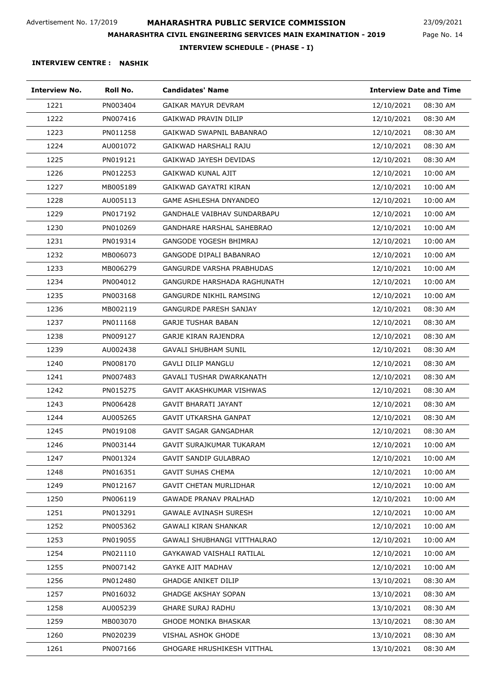Page No. 14 23/09/2021

**INTERVIEW SCHEDULE - (PHASE - I)**

| <b>Interview No.</b> | Roll No. | <b>Candidates' Name</b>            | <b>Interview Date and Time</b> |
|----------------------|----------|------------------------------------|--------------------------------|
| 1221                 | PN003404 | <b>GAIKAR MAYUR DEVRAM</b>         | 12/10/2021<br>08:30 AM         |
| 1222                 | PN007416 | GAIKWAD PRAVIN DILIP               | 12/10/2021<br>08:30 AM         |
| 1223                 | PN011258 | GAIKWAD SWAPNIL BABANRAO           | 12/10/2021<br>08:30 AM         |
| 1224                 | AU001072 | GAIKWAD HARSHALI RAJU              | 12/10/2021<br>08:30 AM         |
| 1225                 | PN019121 | GAIKWAD JAYESH DEVIDAS             | 12/10/2021<br>08:30 AM         |
| 1226                 | PN012253 | GAIKWAD KUNAL AJIT                 | 12/10/2021<br>10:00 AM         |
| 1227                 | MB005189 | GAIKWAD GAYATRI KIRAN              | 12/10/2021<br>10:00 AM         |
| 1228                 | AU005113 | <b>GAME ASHLESHA DNYANDEO</b>      | 12/10/2021<br>10:00 AM         |
| 1229                 | PN017192 | <b>GANDHALE VAIBHAV SUNDARBAPU</b> | 12/10/2021<br>10:00 AM         |
| 1230                 | PN010269 | <b>GANDHARE HARSHAL SAHEBRAO</b>   | 12/10/2021<br>10:00 AM         |
| 1231                 | PN019314 | GANGODE YOGESH BHIMRAJ             | 12/10/2021<br>10:00 AM         |
| 1232                 | MB006073 | GANGODE DIPALI BABANRAO            | 12/10/2021<br>10:00 AM         |
| 1233                 | MB006279 | <b>GANGURDE VARSHA PRABHUDAS</b>   | 12/10/2021<br>10:00 AM         |
| 1234                 | PN004012 | <b>GANGURDE HARSHADA RAGHUNATH</b> | 12/10/2021<br>10:00 AM         |
| 1235                 | PN003168 | <b>GANGURDE NIKHIL RAMSING</b>     | 12/10/2021<br>10:00 AM         |
| 1236                 | MB002119 | <b>GANGURDE PARESH SANJAY</b>      | 12/10/2021<br>08:30 AM         |
| 1237                 | PN011168 | <b>GARJE TUSHAR BABAN</b>          | 12/10/2021<br>08:30 AM         |
| 1238                 | PN009127 | GARJE KIRAN RAJENDRA               | 12/10/2021<br>08:30 AM         |
| 1239                 | AU002438 | <b>GAVALI SHUBHAM SUNIL</b>        | 12/10/2021<br>08:30 AM         |
| 1240                 | PN008170 | <b>GAVLI DILIP MANGLU</b>          | 12/10/2021<br>08:30 AM         |
| 1241                 | PN007483 | GAVALI TUSHAR DWARKANATH           | 12/10/2021<br>08:30 AM         |
| 1242                 | PN015275 | GAVIT AKASHKUMAR VISHWAS           | 12/10/2021<br>08:30 AM         |
| 1243                 | PN006428 | <b>GAVIT BHARATI JAYANT</b>        | 12/10/2021<br>08:30 AM         |
| 1244                 | AU005265 | <b>GAVIT UTKARSHA GANPAT</b>       | 12/10/2021<br>08:30 AM         |
| 1245                 | PN019108 | <b>GAVIT SAGAR GANGADHAR</b>       | 12/10/2021<br>08:30 AM         |
| 1246                 | PN003144 | GAVIT SURAJKUMAR TUKARAM           | 12/10/2021<br>10:00 AM         |
| 1247                 | PN001324 | <b>GAVIT SANDIP GULABRAO</b>       | 12/10/2021<br>10:00 AM         |
| 1248                 | PN016351 | <b>GAVIT SUHAS CHEMA</b>           | 12/10/2021<br>10:00 AM         |
| 1249                 | PN012167 | <b>GAVIT CHETAN MURLIDHAR</b>      | 12/10/2021<br>10:00 AM         |
| 1250                 | PN006119 | <b>GAWADE PRANAV PRALHAD</b>       | 12/10/2021<br>10:00 AM         |
| 1251                 | PN013291 | <b>GAWALE AVINASH SURESH</b>       | 12/10/2021<br>10:00 AM         |
| 1252                 | PN005362 | <b>GAWALI KIRAN SHANKAR</b>        | 12/10/2021<br>10:00 AM         |
| 1253                 | PN019055 | <b>GAWALI SHUBHANGI VITTHALRAO</b> | 12/10/2021<br>10:00 AM         |
| 1254                 | PN021110 | GAYKAWAD VAISHALI RATILAL          | 10:00 AM<br>12/10/2021         |
| 1255                 | PN007142 | GAYKE AJIT MADHAV                  | 12/10/2021<br>10:00 AM         |
| 1256                 | PN012480 | <b>GHADGE ANIKET DILIP</b>         | 13/10/2021<br>08:30 AM         |
| 1257                 | PN016032 | <b>GHADGE AKSHAY SOPAN</b>         | 13/10/2021<br>08:30 AM         |
| 1258                 | AU005239 | <b>GHARE SURAJ RADHU</b>           | 13/10/2021<br>08:30 AM         |
| 1259                 | MB003070 | <b>GHODE MONIKA BHASKAR</b>        | 13/10/2021<br>08:30 AM         |
| 1260                 | PN020239 | VISHAL ASHOK GHODE                 | 13/10/2021<br>08:30 AM         |
| 1261                 | PN007166 | GHOGARE HRUSHIKESH VITTHAL         | 13/10/2021<br>08:30 AM         |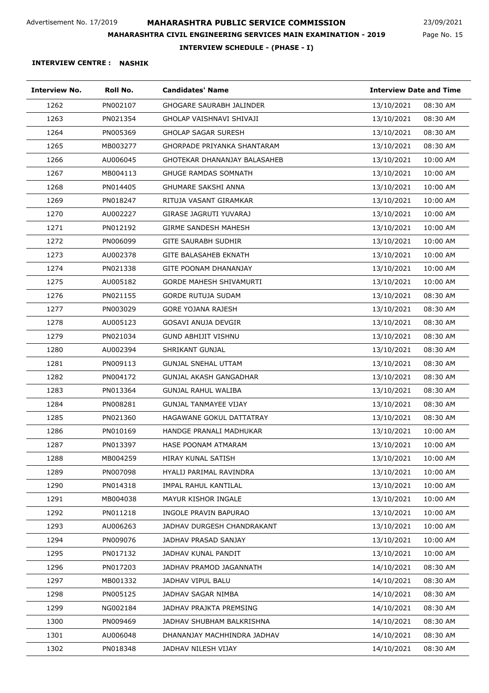Page No. 15 23/09/2021

**INTERVIEW SCHEDULE - (PHASE - I)**

| Interview No. | Roll No. | <b>Candidates' Name</b>            | <b>Interview Date and Time</b> |
|---------------|----------|------------------------------------|--------------------------------|
| 1262          | PN002107 | <b>GHOGARE SAURABH JALINDER</b>    | 13/10/2021<br>08:30 AM         |
| 1263          | PN021354 | GHOLAP VAISHNAVI SHIVAJI           | 08:30 AM<br>13/10/2021         |
| 1264          | PN005369 | <b>GHOLAP SAGAR SURESH</b>         | 13/10/2021<br>08:30 AM         |
| 1265          | MB003277 | <b>GHORPADE PRIYANKA SHANTARAM</b> | 08:30 AM<br>13/10/2021         |
| 1266          | AU006045 | GHOTEKAR DHANANJAY BALASAHEB       | 10:00 AM<br>13/10/2021         |
| 1267          | MB004113 | <b>GHUGE RAMDAS SOMNATH</b>        | 13/10/2021<br>10:00 AM         |
| 1268          | PN014405 | <b>GHUMARE SAKSHI ANNA</b>         | 13/10/2021<br>10:00 AM         |
| 1269          | PN018247 | RITUJA VASANT GIRAMKAR             | 13/10/2021<br>10:00 AM         |
| 1270          | AU002227 | GIRASE JAGRUTI YUVARAJ             | 13/10/2021<br>10:00 AM         |
| 1271          | PN012192 | <b>GIRME SANDESH MAHESH</b>        | 13/10/2021<br>10:00 AM         |
| 1272          | PN006099 | <b>GITE SAURABH SUDHIR</b>         | 13/10/2021<br>10:00 AM         |
| 1273          | AU002378 | <b>GITE BALASAHEB EKNATH</b>       | 10:00 AM<br>13/10/2021         |
| 1274          | PN021338 | GITE POONAM DHANANJAY              | 10:00 AM<br>13/10/2021         |
| 1275          | AU005182 | <b>GORDE MAHESH SHIVAMURTI</b>     | 13/10/2021<br>10:00 AM         |
| 1276          | PN021155 | <b>GORDE RUTUJA SUDAM</b>          | 13/10/2021<br>08:30 AM         |
| 1277          | PN003029 | <b>GORE YOJANA RAJESH</b>          | 13/10/2021<br>08:30 AM         |
| 1278          | AU005123 | <b>GOSAVI ANUJA DEVGIR</b>         | 13/10/2021<br>08:30 AM         |
| 1279          | PN021034 | <b>GUND ABHIJIT VISHNU</b>         | 08:30 AM<br>13/10/2021         |
| 1280          | AU002394 | SHRIKANT GUNJAL                    | 13/10/2021<br>08:30 AM         |
| 1281          | PN009113 | <b>GUNJAL SNEHAL UTTAM</b>         | 13/10/2021<br>08:30 AM         |
| 1282          | PN004172 | GUNJAL AKASH GANGADHAR             | 08:30 AM<br>13/10/2021         |
| 1283          | PN013364 | GUNJAL RAHUL WALIBA                | 08:30 AM<br>13/10/2021         |
| 1284          | PN008281 | <b>GUNJAL TANMAYEE VIJAY</b>       | 08:30 AM<br>13/10/2021         |
| 1285          | PN021360 | <b>HAGAWANE GOKUL DATTATRAY</b>    | 13/10/2021<br>08:30 AM         |
| 1286          | PN010169 | HANDGE PRANALI MADHUKAR            | 13/10/2021<br>10:00 AM         |
| 1287          | PN013397 | HASE POONAM ATMARAM                | 13/10/2021<br>10:00 AM         |
| 1288          | MB004259 | HIRAY KUNAL SATISH                 | 13/10/2021<br>10:00 AM         |
| 1289          | PN007098 | HYALIJ PARIMAL RAVINDRA            | 13/10/2021<br>10:00 AM         |
| 1290          | PN014318 | IMPAL RAHUL KANTILAL               | 13/10/2021<br>10:00 AM         |
| 1291          | MB004038 | MAYUR KISHOR INGALE                | 13/10/2021<br>10:00 AM         |
| 1292          | PN011218 | INGOLE PRAVIN BAPURAO              | 10:00 AM<br>13/10/2021         |
| 1293          | AU006263 | JADHAV DURGESH CHANDRAKANT         | 10:00 AM<br>13/10/2021         |
| 1294          | PN009076 | JADHAV PRASAD SANJAY               | 10:00 AM<br>13/10/2021         |
| 1295          | PN017132 | JADHAV KUNAL PANDIT                | 13/10/2021<br>10:00 AM         |
| 1296          | PN017203 | JADHAV PRAMOD JAGANNATH            | 14/10/2021<br>08:30 AM         |
| 1297          | MB001332 | JADHAV VIPUL BALU                  | 14/10/2021<br>08:30 AM         |
| 1298          | PN005125 | JADHAV SAGAR NIMBA                 | 14/10/2021<br>08:30 AM         |
| 1299          | NG002184 | JADHAV PRAJKTA PREMSING            | 08:30 AM<br>14/10/2021         |
| 1300          | PN009469 | JADHAV SHUBHAM BALKRISHNA          | 08:30 AM<br>14/10/2021         |
| 1301          | AU006048 | DHANANJAY MACHHINDRA JADHAV        | 14/10/2021<br>08:30 AM         |
| 1302          | PN018348 | JADHAV NILESH VIJAY                | 08:30 AM<br>14/10/2021         |
|               |          |                                    |                                |